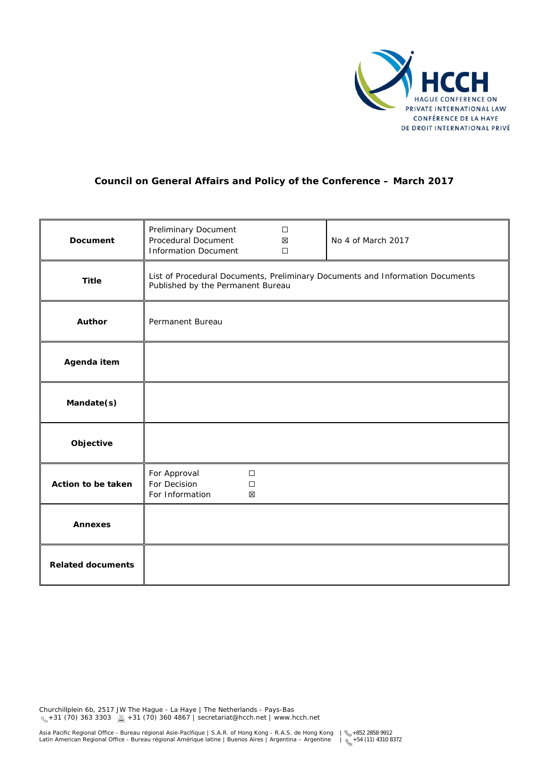

# **Council on General Affairs and Policy of the Conference – March 2017**

| <b>Document</b>          | Preliminary Document<br>Procedural Document<br><b>Information Document</b>                                         | $\Box$<br>X<br>$\Box$ | No 4 of March 2017 |
|--------------------------|--------------------------------------------------------------------------------------------------------------------|-----------------------|--------------------|
| <b>Title</b>             | List of Procedural Documents, Preliminary Documents and Information Documents<br>Published by the Permanent Bureau |                       |                    |
| Author                   | Permanent Bureau                                                                                                   |                       |                    |
| Agenda item              |                                                                                                                    |                       |                    |
| Mandate(s)               |                                                                                                                    |                       |                    |
| Objective                |                                                                                                                    |                       |                    |
| Action to be taken       | For Approval<br>For Decision<br>For Information                                                                    | $\Box$<br>$\Box$<br>X |                    |
| <b>Annexes</b>           |                                                                                                                    |                       |                    |
| <b>Related documents</b> |                                                                                                                    |                       |                    |

Churchillplein 6b, 2517 JW The Hague - La Haye | The Netherlands - Pays-Bas +31 (70) 363 3303 +31 (70) 360 4867 | secretariat@hcch.net | www.hcch.net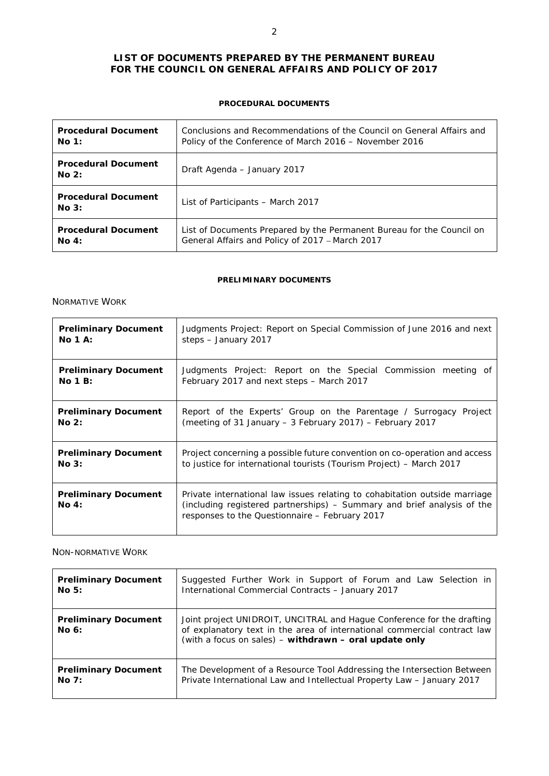## **LIST OF DOCUMENTS PREPARED BY THE PERMANENT BUREAU FOR THE COUNCIL ON GENERAL AFFAIRS AND POLICY OF 2017**

#### **PROCEDURAL DOCUMENTS**

| <b>Procedural Document</b>          | Conclusions and Recommendations of the Council on General Affairs and |
|-------------------------------------|-----------------------------------------------------------------------|
| No 1:                               | Policy of the Conference of March 2016 - November 2016                |
| <b>Procedural Document</b><br>No 2: | Draft Agenda - January 2017                                           |
| <b>Procedural Document</b><br>No 3: | List of Participants – March 2017                                     |
| <b>Procedural Document</b>          | List of Documents Prepared by the Permanent Bureau for the Council on |
| No 4:                               | General Affairs and Policy of 2017 - March 2017                       |

#### **PRELIMINARY DOCUMENTS**

#### *NORMATIVE WORK*

| <b>Preliminary Document</b>          | Judgments Project: Report on Special Commission of June 2016 and next                                                                                                                                   |
|--------------------------------------|---------------------------------------------------------------------------------------------------------------------------------------------------------------------------------------------------------|
| $No 1 A$ :                           | steps - January 2017                                                                                                                                                                                    |
| <b>Preliminary Document</b>          | Judgments Project: Report on the Special Commission meeting of                                                                                                                                          |
| No 1B:                               | February 2017 and next steps - March 2017                                                                                                                                                               |
| <b>Preliminary Document</b>          | Report of the Experts' Group on the Parentage / Surrogacy Project                                                                                                                                       |
| No 2:                                | (meeting of 31 January - 3 February 2017) - February 2017                                                                                                                                               |
| <b>Preliminary Document</b>          | Project concerning a possible future convention on co-operation and access                                                                                                                              |
| No 3:                                | to justice for international tourists (Tourism Project) - March 2017                                                                                                                                    |
| <b>Preliminary Document</b><br>No 4: | Private international law issues relating to cohabitation outside marriage<br>(including registered partnerships) - Summary and brief analysis of the<br>responses to the Questionnaire - February 2017 |

### *NON-NORMATIVE WORK*

| <b>Preliminary Document</b>          | Suggested Further Work in Support of Forum and Law Selection in                                                                                                                                              |
|--------------------------------------|--------------------------------------------------------------------------------------------------------------------------------------------------------------------------------------------------------------|
| NoS:                                 | International Commercial Contracts - January 2017                                                                                                                                                            |
| <b>Preliminary Document</b><br>No 6: | Joint project UNIDROIT, UNCITRAL and Hague Conference for the drafting<br>of explanatory text in the area of international commercial contract law<br>(with a focus on sales) - withdrawn - oral update only |
| <b>Preliminary Document</b>          | The Development of a Resource Tool Addressing the Intersection Between                                                                                                                                       |
| NoZ:                                 | Private International Law and Intellectual Property Law - January 2017                                                                                                                                       |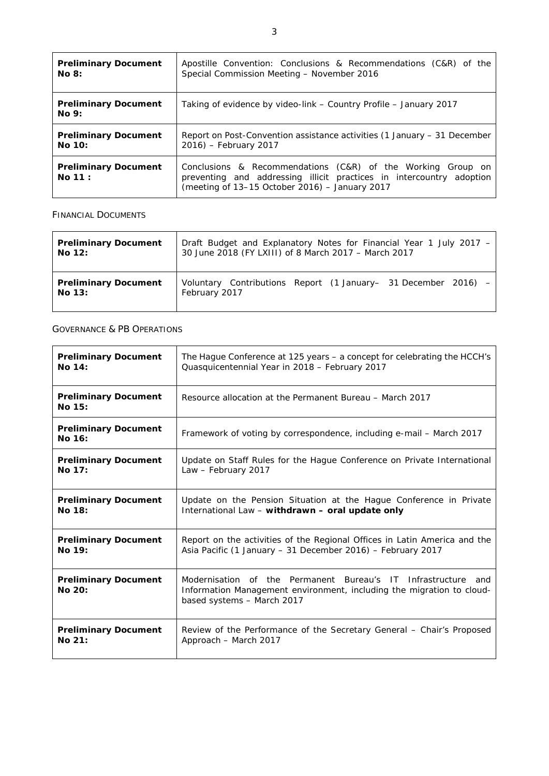| <b>Preliminary Document</b>           | Apostille Convention: Conclusions & Recommendations (C&R) of the                                                                                                                      |
|---------------------------------------|---------------------------------------------------------------------------------------------------------------------------------------------------------------------------------------|
| <b>No 8:</b>                          | Special Commission Meeting - November 2016                                                                                                                                            |
| <b>Preliminary Document</b><br>No 9:  | Taking of evidence by video-link – Country Profile – January 2017                                                                                                                     |
| <b>Preliminary Document</b>           | Report on Post-Convention assistance activities (1 January – 31 December                                                                                                              |
| No 10:                                | $2016$ ) – February 2017                                                                                                                                                              |
| <b>Preliminary Document</b><br>No 11: | Conclusions & Recommendations (C&R) of the Working Group on<br>preventing and addressing illicit practices in intercountry adoption<br>(meeting of 13-15 October 2016) - January 2017 |

### *FINANCIAL DOCUMENTS*

| <b>Preliminary Document</b> | Draft Budget and Explanatory Notes for Financial Year 1 July 2017 - |
|-----------------------------|---------------------------------------------------------------------|
| No 12:                      | 30 June 2018 (FY LXIII) of 8 March 2017 – March 2017                |
| <b>Preliminary Document</b> | Voluntary Contributions Report (1 January- 31 December 2016) -      |
| No 13:                      | February 2017                                                       |

*GOVERNANCE & PB OPERATIONS*

| <b>Preliminary Document</b>           | The Hague Conference at 125 years – a concept for celebrating the HCCH's                                                                                                   |
|---------------------------------------|----------------------------------------------------------------------------------------------------------------------------------------------------------------------------|
| No 14:                                | Quasquicentennial Year in 2018 - February 2017                                                                                                                             |
| <b>Preliminary Document</b><br>No 15: | Resource allocation at the Permanent Bureau – March 2017                                                                                                                   |
| <b>Preliminary Document</b><br>No 16: | Framework of voting by correspondence, including e-mail – March 2017                                                                                                       |
| <b>Preliminary Document</b>           | Update on Staff Rules for the Haque Conference on Private International                                                                                                    |
| No 17:                                | Law - February 2017                                                                                                                                                        |
| <b>Preliminary Document</b>           | Update on the Pension Situation at the Hague Conference in Private                                                                                                         |
| No 18:                                | International Law - withdrawn - oral update only                                                                                                                           |
| <b>Preliminary Document</b>           | Report on the activities of the Regional Offices in Latin America and the                                                                                                  |
| No 19:                                | Asia Pacific (1 January - 31 December 2016) - February 2017                                                                                                                |
| <b>Preliminary Document</b><br>No 20: | Modernisation of the Permanent Bureau's IT<br>Infrastructure<br>and<br>Information Management environment, including the migration to cloud-<br>based systems - March 2017 |
| <b>Preliminary Document</b>           | Review of the Performance of the Secretary General – Chair's Proposed                                                                                                      |
| No. 21:                               | Approach - March 2017                                                                                                                                                      |